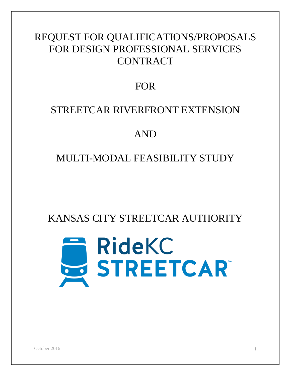## REQUEST FOR QUALIFICATIONS/PROPOSALS FOR DESIGN PROFESSIONAL SERVICES **CONTRACT**

## FOR

## STREETCAR RIVERFRONT EXTENSION

## AND

## MULTI-MODAL FEASIBILITY STUDY

KANSAS CITY STREETCAR AUTHORITY

# **RideKC** E RIDEKC<br>STREETCAR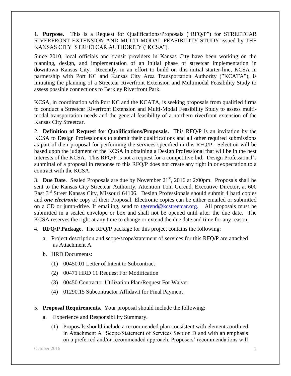1. **Purpose.** This is a Request for Qualifications/Proposals ("RFQ/P") for STREETCAR RIVERFRONT EXTENSION AND MULTI-MODAL FEASIBILITY STUDY issued by THE KANSAS CITY STREETCAR AUTHORITY ("KCSA").

Since 2010, local officials and transit providers in Kansas City have been working on the planning, design, and implementation of an initial phase of streetcar implementation in downtown Kansas City. Recently, in an effort to build on this initial starter-line, KCSA in partnership with Port KC and Kansas City Area Transportation Authority ("KCATA"), is initiating the planning of a Streetcar Riverfront Extension and Multimodal Feasibility Study to assess possible connections to Berkley Riverfront Park.

KCSA, in coordination with Port KC and the KCATA, is seeking proposals from qualified firms to conduct a Streetcar Riverfront Extension and Multi-Modal Feasibility Study to assess multimodal transportation needs and the general feasibility of a northern riverfront extension of the Kansas City Streetcar.

2. **Definition of Request for Qualifications/Proposals.** This RFQ/P is an invitation by the KCSA to Design Professionals to submit their qualifications and all other required submissions as part of their proposal for performing the services specified in this RFQ/P. Selection will be based upon the judgment of the KCSA in obtaining a Design Professional that will be in the best interests of the KCSA. This RFQ/P is not a request for a competitive bid. Design Professional's submittal of a proposal in response to this RFQ/P does not create any right in or expectation to a contract with the KCSA.

3. **Due Date**. Sealed Proposals are due by November 21<sup>st</sup>, 2016 at 2:00pm. Proposals shall be sent to the Kansas City Streetcar Authority, Attention Tom Gerend, Executive Director, at 600 East 3<sup>rd</sup> Street Kansas City, Missouri 64106. Design Professionals should submit 4 hard copies and *one electronic* copy of their Proposal. Electronic copies can be either emailed or submitted on a CD or jump-drive. If emailing, send to [tgerend@kcstreetcar.org.](mailto:tgerend@kcstreetcar.org) All proposals must be submitted in a sealed envelope or box and shall not be opened until after the due date. The KCSA reserves the right at any time to change or extend the due date and time for any reason.

- 4. **RFQ/P Package.** The RFQ/P package for this project contains the following:
	- a. Project description and scope/scope/statement of services for this RFQ/P are attached as Attachment A.
	- b. HRD Documents:
		- (1) 00450.01 Letter of Intent to Subcontract
		- (2) 00471 HRD 11 Request For Modification
		- (3) 00450 Contractor Utilization Plan/Request For Waiver
		- (4) 01290.15 Subcontractor Affidavit for Final Payment
- 5. **Proposal Requirements.** Your proposal should include the following:
	- a. Experience and Responsibility Summary.
		- (1) Proposals should include a recommended plan consistent with elements outlined in Attachment A "Scope/Statement of Services Section D and with an emphasis on a preferred and/or recommended approach. Proposers' recommendations will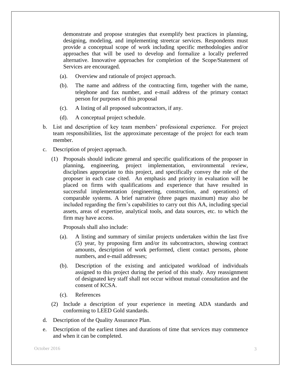demonstrate and propose strategies that exemplify best practices in planning, designing, modeling, and implementing streetcar services. Respondents must provide a conceptual scope of work including specific methodologies and/or approaches that will be used to develop and formalize a locally preferred alternative. Innovative approaches for completion of the Scope/Statement of Services are encouraged.

- (a). Overview and rationale of project approach.
- (b). The name and address of the contracting firm, together with the name, telephone and fax number, and e-mail address of the primary contact person for purposes of this proposal
- (c). A listing of all proposed subcontractors, if any.
- (d). A conceptual project schedule.
- b. List and description of key team members' professional experience. For project team responsibilities, list the approximate percentage of the project for each team member.
- c. Description of project approach.
	- (1) Proposals should indicate general and specific qualifications of the proposer in planning, engineering, project implementation, environmental review, disciplines appropriate to this project, and specifically convey the role of the proposer in each case cited. An emphasis and priority in evaluation will be placed on firms with qualifications and experience that have resulted in successful implementation (engineering, construction, and operations) of comparable systems. A brief narrative (three pages maximum) may also be included regarding the firm's capabilities to carry out this AA, including special assets, areas of expertise, analytical tools, and data sources, etc. to which the firm may have access.

Proposals shall also include:

- (a). A listing and summary of similar projects undertaken within the last five (5) year, by proposing firm and/or its subcontractors, showing contract amounts, description of work performed, client contact persons, phone numbers, and e-mail addresses;
- (b). Description of the existing and anticipated workload of individuals assigned to this project during the period of this study. Any reassignment of designated key staff shall not occur without mutual consultation and the consent of KCSA.
- (c). References
- (2) Include a description of your experience in meeting ADA standards and conforming to LEED Gold standards.
- d. Description of the Quality Assurance Plan.
- e. Description of the earliest times and durations of time that services may commence and when it can be completed.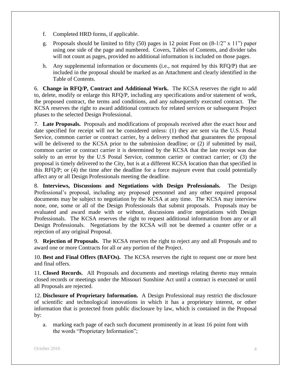- f. Completed HRD forms, if applicable.
- g. Proposals should be limited to fifty (50) pages in 12 point Font on  $(8-1/2" \times 11")$  paper using one side of the page and numbered. Covers, Tables of Contents, and divider tabs will not count as pages, provided no additional information is included on those pages.
- h. Any supplemental information or documents (i.e., not required by this RFQ/P) that are included in the proposal should be marked as an Attachment and clearly identified in the Table of Contents.

6. **Change in RFQ/P, Contract and Additional Work.** The KCSA reserves the right to add to, delete, modify or enlarge this RFQ/P, including any specifications and/or statement of work, the proposed contract, the terms and conditions, and any subsequently executed contract. The KCSA reserves the right to award additional contracts for related services or subsequent Project phases to the selected Design Professional.

7. **Late Proposals.** Proposals and modifications of proposals received after the exact hour and date specified for receipt will not be considered unless: (1) they are sent via the U.S. Postal Service, common carrier or contract carrier, by a delivery method that guarantees the proposal will be delivered to the KCSA prior to the submission deadline; or  $(2)$  if submitted by mail, common carrier or contract carrier it is determined by the KCSA that the late receipt was due solely to an error by the U.S Postal Service, common carrier or contract carrier; or (3) the proposal is timely delivered to the City, but is at a different KCSA location than that specified in this RFQ/P; or (4) the time after the deadline for a force majeure event that could potentially affect any or all Design Professionals meeting the deadline.

8. **Interviews, Discussions and Negotiations with Design Professionals.** The Design Professional's proposal, including any proposed personnel and any other required proposal documents may be subject to negotiation by the KCSA at any time. The KCSA may interview none, one, some or all of the Design Professionals that submit proposals. Proposals may be evaluated and award made with or without, discussions and/or negotiations with Design Professionals. The KCSA reserves the right to request additional information from any or all Design Professionals. Negotiations by the KCSA will not be deemed a counter offer or a rejection of any original Proposal.

9. **Rejection of Proposals.** The KCSA reserves the right to reject any and all Proposals and to award one or more Contracts for all or any portion of the Project.

10. **Best and Final Offers (BAFOs).** The KCSA reserves the right to request one or more best and final offers.

11. **Closed Records.** All Proposals and documents and meetings relating thereto may remain closed records or meetings under the Missouri Sunshine Act until a contract is executed or until all Proposals are rejected.

12. **Disclosure of Proprietary Information.** A Design Professional may restrict the disclosure of scientific and technological innovations in which it has a proprietary interest, or other information that is protected from public disclosure by law, which is contained in the Proposal by:

a. marking each page of each such document prominently in at least 16 point font with the words "Proprietary Information";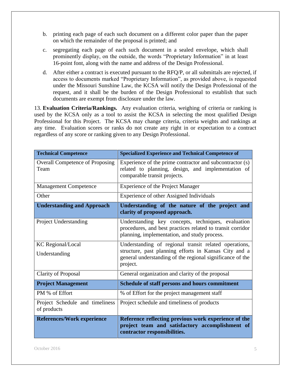- b. printing each page of each such document on a different color paper than the paper on which the remainder of the proposal is printed; and
- c. segregating each page of each such document in a sealed envelope, which shall prominently display, on the outside, the words "Proprietary Information" in at least 16-point font, along with the name and address of the Design Professional.
- d. After either a contract is executed pursuant to the RFQ/P, or all submittals are rejected, if access to documents marked "Proprietary Information", as provided above, is requested under the Missouri Sunshine Law, the KCSA will notify the Design Professional of the request, and it shall be the burden of the Design Professional to establish that such documents are exempt from disclosure under the law.

13. **Evaluation Criteria/Rankings.** Any evaluation criteria, weighing of criteria or ranking is used by the KCSA only as a tool to assist the KCSA in selecting the most qualified Design Professional for this Project. The KCSA may change criteria, criteria weights and rankings at any time. Evaluation scores or ranks do not create any right in or expectation to a contract regardless of any score or ranking given to any Design Professional.

| <b>Technical Competence</b>                    | <b>Specialized Experience and Technical Competence of</b>                                                                                                                               |
|------------------------------------------------|-----------------------------------------------------------------------------------------------------------------------------------------------------------------------------------------|
| <b>Overall Competence of Proposing</b><br>Team | Experience of the prime contractor and subcontractor (s)<br>related to planning, design, and implementation of<br>comparable transit projects.                                          |
| <b>Management Competence</b>                   | <b>Experience of the Project Manager</b>                                                                                                                                                |
| Other                                          | Experience of other Assigned Individuals                                                                                                                                                |
| <b>Understanding and Approach</b>              | Understanding of the nature of the project and<br>clarity of proposed approach.                                                                                                         |
| Project Understanding                          | Understanding key concepts, techniques, evaluation<br>procedures, and best practices related to transit corridor<br>planning, implementation, and study process.                        |
| <b>KC</b> Regional/Local<br>Understanding      | Understanding of regional transit related operations,<br>structure, past planning efforts in Kansas City and a<br>general understanding of the regional significance of the<br>project. |
| <b>Clarity of Proposal</b>                     | General organization and clarity of the proposal                                                                                                                                        |
| <b>Project Management</b>                      | Schedule of staff persons and hours commitment                                                                                                                                          |
| PM % of Effort                                 | % of Effort for the project management staff                                                                                                                                            |
| Project Schedule and timeliness<br>of products | Project schedule and timeliness of products                                                                                                                                             |
| <b>References/Work experience</b>              | Reference reflecting previous work experience of the<br>project team and satisfactory accomplishment of<br>contractor responsibilities.                                                 |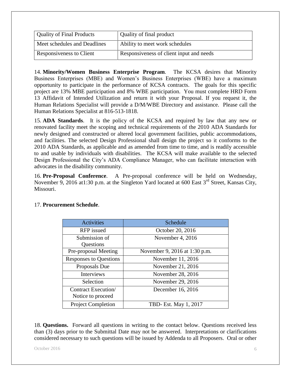| <b>Quality of Final Products</b> | Quality of final product                 |
|----------------------------------|------------------------------------------|
| Meet schedules and Deadlines     | Ability to meet work schedules           |
| Responsiveness to Client         | Responsiveness of client input and needs |

14. **Minority/Women Business Enterprise Program**. The KCSA desires that Minority Business Enterprises (MBE) and Women's Business Enterprises (WBE) have a maximum opportunity to participate in the performance of KCSA contracts. The goals for this specific project are 13% MBE participation and 8% WBE participation. You must complete HRD Form 13 Affidavit of Intended Utilization and return it with your Proposal. If you request it, the Human Relations Specialist will provide a D/M/WBE Directory and assistance. Please call the Human Relations Specialist at 816-513-1818.

15. **ADA Standards**. It is the policy of the KCSA and required by law that any new or renovated facility meet the scoping and technical requirements of the 2010 ADA Standards for newly designed and constructed or altered local government facilities, public accommodations, and facilities. The selected Design Professional shall design the project so it conforms to the 2010 ADA Standards, as applicable and as amended from time to time, and is readily accessible to and usable by individuals with disabilities. The KCSA will make available to the selected Design Professional the City's ADA Compliance Manager, who can facilitate interaction with advocates in the disability community.

16. **Pre-Proposal Conference**. A Pre-proposal conference will be held on Wednesday, November 9, 2016 at 1:30 p.m. at the Singleton Yard located at 600 East  $3^{rd}$  Street, Kansas City, Missouri.

| Activities                               | Schedule                      |
|------------------------------------------|-------------------------------|
| <b>RFP</b> issued                        | October 20, 2016              |
| Submission of<br>Questions               | November 4, 2016              |
| Pre-proposal Meeting                     | November 9, 2016 at 1:30 p.m. |
| <b>Responses to Questions</b>            | November 11, 2016             |
| Proposals Due                            | November 21, 2016             |
| <b>Interviews</b>                        | November 28, 2016             |
| Selection                                | November 29, 2016             |
| Contract Execution/<br>Notice to proceed | December 16, 2016             |
| <b>Project Completion</b>                | TBD- Est. May 1, 2017         |

#### 17. **Procurement Schedule**.

18. **Questions.** Forward all questions in writing to the contact below. Questions received less than (3) days prior to the Submittal Date may not be answered. Interpretations or clarifications considered necessary to such questions will be issued by Addenda to all Proposers. Oral or other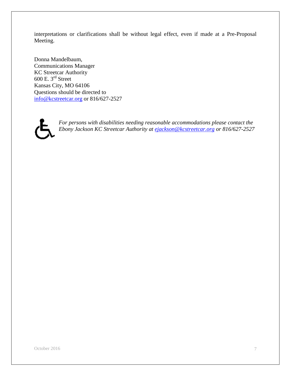interpretations or clarifications shall be without legal effect, even if made at a Pre-Proposal Meeting.

Donna Mandelbaum, Communications Manager KC Streetcar Authority 600 E.  $3^{\text{rd}}$  Street Kansas City, MO 64106 Questions should be directed to [info@kcstreetcar.org](mailto:info@kcstreetcar.org) or 816/627-2527



*For persons with disabilities needing reasonable accommodations please contact the Ebony Jackson KC Streetcar Authority at [ejackson@kcstreetcar.org](mailto:ejackson@kcstreetcar.org) or 816/627-2527*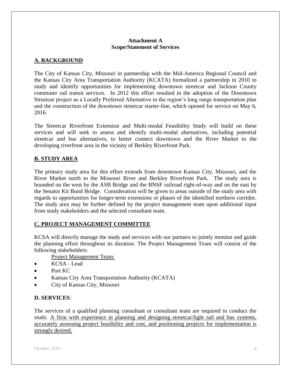#### **Attachment A Scope/Statement of Services**

#### **A. BACKGROUND**

The City of Kansas City, Missouri in partnership with the Mid-America Regional Council and the Kansas City Area Transportation Authority (KCATA) formalized a partnership in 2010 to study and identify opportunities for implementing downtown streetcar and Jackson County commuter rail transit services. In 2012 this effort resulted in the adoption of the Downtown Streetcar project as a Locally Preferred Alternative in the region's long range transportation plan and the construction of the downtown streetcar starter-line, which opened for service on May 6, 2016.

The Streetcar Riverfront Extension and Multi-modal Feasibility Study will build on these services and will seek to assess and identify multi-modal alternatives, including potential streetcar and bus alternatives, to better connect downtown and the River Market to the developing riverfront area in the vicinity of Berkley Riverfront Park.

#### **B. STUDY AREA**

The primary study area for this effort extends from downtown Kansas City, Missouri, and the River Market north to the Missouri River and Berkley Riverfront Park. The study area is bounded on the west by the ASB Bridge and the BNSF railroad right-of-way and on the east by the Senator Kit Bond Bridge. Consideration will be given to areas outside of the study area with regards to opportunities for longer-term extensions or phases of the identified northern corridor. The study area may be further defined by the project management team upon additional input from study stakeholders and the selected consultant team.

#### **C. PROJECT MANAGEMENT COMMITTEE**

KCSA will directly manage the study and services with our partners to jointly monitor and guide the planning effort throughout its duration. The Project Management Team will consist of the following stakeholders:

Project Management Team:

- KCSA Lead
- Port KC
- Kansas City Area Transportation Authority (KCATA)
- City of Kansas City, Missouri

#### **D. SERVICES**:

The services of a qualified planning consultant or consultant team are required to conduct the study. A firm with experience in planning and designing streetcar/light rail and bus systems, accurately assessing project feasibility and cost, and positioning projects for implementation is strongly desired.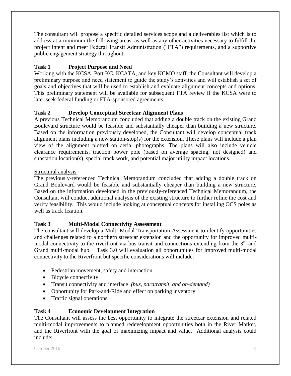The consultant will propose a specific detailed services scope and a deliverables list which is to address at a minimum the following areas, as well as any other activities necessary to fulfill the project intent and meet Federal Transit Administration ("FTA") requirements, and a supportive public engagement strategy throughout.

#### **Task 1 Project Purpose and Need**

Working with the KCSA, Port KC, KCATA, and key KCMO staff, the Consultant will develop a preliminary purpose and need statement to guide the study's activities and will establish a set of goals and objectives that will be used to establish and evaluate alignment concepts and options. This preliminary statement will be available for subsequent FTA review if the KCSA were to later seek federal funding or FTA-sponsored agreements.

#### **Task 2 Develop Conceptual Streetcar Alignment Plans**

A previous Technical Memorandum concluded that adding a double track on the existing Grand Boulevard structure would be feasible and substantially cheaper than building a new structure. Based on the information previously developed, the Consultant will develop conceptual track alignment plans including a new station-stop(s) for the extension. These plans will include a plan view of the alignment plotted on aerial photographs. The plans will also include vehicle clearance requirements, traction power pole (based on average spacing, not designed) and substation location(s), special track work, and potential major utility impact locations.

#### Structural analysis

The previously-referenced Technical Memorandum concluded that adding a double track on Grand Boulevard would be feasible and substantially cheaper than building a new structure. Based on the information developed in the previously-referenced Technical Memorandum, the Consultant will conduct additional analysis of the existing structure to further refine the cost and verify feasibility. This would include looking at conceptual concepts for installing OCS poles as well as track fixation.

#### **Task 3 Multi-Modal Connectivity Assessment**

The consultant will develop a Multi-Modal Transportation Assessment to identify opportunities and challenges related to a northern streetcar extension and the opportunity for improved multimodal connectivity to the riverfront via bus transit and connections extending from the  $3<sup>rd</sup>$  and Grand multi-modal hub. Task 3.0 will evaluation all opportunities for improved multi-modal connectivity to the Riverfront but specific considerations will include:

- Pedestrian movement, safety and interaction
- Bicycle connectivity
- Transit connectivity and interface *(bus, paratransit, and on-demand)*
- Opportunity for Park-and-Ride and effect on parking inventory
- Traffic signal operations

#### **Task 4 Economic Development Integration**

The Consultant will assess the best opportunity to integrate the streetcar extension and related multi-modal improvements to planned redevelopment opportunities both in the River Market, and the Riverfront with the goal of maximizing impact and value. Additional analysis could include: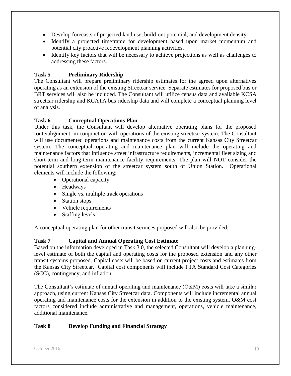- Develop forecasts of projected land use, build-out potential, and development density
- Identify a projected timeframe for development based upon market momentum and potential city proactive redevelopment planning activities.
- Identify key factors that will be necessary to achieve projections as well as challenges to addressing these factors.

#### **Task 5 Preliminary Ridership**

The Consultant will prepare preliminary ridership estimates for the agreed upon alternatives operating as an extension of the existing Streetcar service. Separate estimates for proposed bus or BRT services will also be included. The Consultant will utilize census data and available KCSA streetcar ridership and KCATA bus ridership data and will complete a conceptual planning level of analysis.

#### **Task 6 Conceptual Operations Plan**

Under this task, the Consultant will develop alternative operating plans for the proposed route/alignment, in conjunction with operations of the existing streetcar system. The Consultant will use documented operations and maintenance costs from the current Kansas City Streetcar system. The conceptual operating and maintenance plan will include the operating and maintenance factors that influence street infrastructure requirements, incremental fleet sizing and short-term and long-term maintenance facility requirements. The plan will NOT consider the potential southern extension of the streetcar system south of Union Station. Operational elements will include the following:

- Operational capacity
- Headways
- Single vs. multiple track operations
- Station stops
- Vehicle requirements
- Staffing levels

A conceptual operating plan for other transit services proposed will also be provided.

#### **Task 7 Capital and Annual Operating Cost Estimate**

Based on the information developed in Task 3.0, the selected Consultant will develop a planninglevel estimate of both the capital and operating costs for the proposed extension and any other transit systems proposed. Capital costs will be based on current project costs and estimates from the Kansas City Streetcar. Capital cost components will include FTA Standard Cost Categories (SCC), contingency, and inflation.

The Consultant's estimate of annual operating and maintenance (O&M) costs will take a similar approach, using current Kansas City Streetcar data. Components will include incremental annual operating and maintenance costs for the extension in addition to the existing system. O&M cost factors considered include administrative and management, operations, vehicle maintenance, additional maintenance.

#### **Task 8 Develop Funding and Financial Strategy**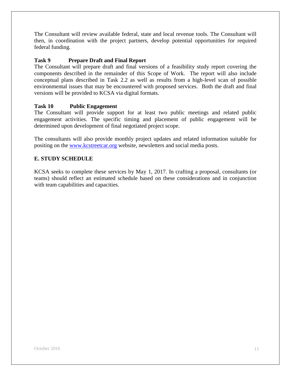The Consultant will review available federal, state and local revenue tools. The Consultant will then, in coordination with the project partners, develop potential opportunities for required federal funding.

#### **Task 9 Prepare Draft and Final Report**

The Consultant will prepare draft and final versions of a feasibility study report covering the components described in the remainder of this Scope of Work. The report will also include conceptual plans described in Task 2.2 as well as results from a high-level scan of possible environmental issues that may be encountered with proposed services. Both the draft and final versions will be provided to KCSA via digital formats.

#### **Task 10 Public Engagement**

The Consultant will provide support for at least two public meetings and related public engagement activities. The specific timing and placement of public engagement will be determined upon development of final negotiated project scope.

The consultants will also provide monthly project updates and related information suitable for positing on the [www.kcstreetcar.org](http://www.kcstreetcar.org/) website, newsletters and social media posts.

#### **E. STUDY SCHEDULE**

KCSA seeks to complete these services by May 1, 2017. In crafting a proposal, consultants (or teams) should reflect an estimated schedule based on these considerations and in conjunction with team capabilities and capacities.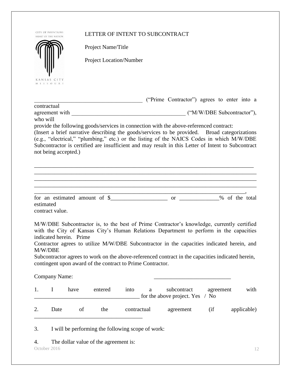| HEART OF THE NATION<br>Project Name/Title<br><b>Project Location/Number</b><br>KANSAS CITY<br>M   S S O U R  <br>("Prime Contractor") agrees to enter into a<br>contractual<br>who will<br>provide the following goods/services in connection with the above-referenced contract:<br>(Insert a brief narrative describing the goods/services to be provided. Broad categorizations<br>(e.g., "electrical," "plumbing," etc.) or the listing of the NAICS Codes in which M/W/DBE<br>Subcontractor is certified are insufficient and may result in this Letter of Intent to Subcontract<br>not being accepted.)<br>estimated<br>contract value.<br>M/W/DBE Subcontractor is, to the best of Prime Contractor's knowledge, currently certified<br>with the City of Kansas City's Human Relations Department to perform in the capacities<br>indicated herein. Prime<br>Contractor agrees to utilize M/W/DBE Subcontractor in the capacities indicated herein, and<br>M/W/DBE<br>Subcontractor agrees to work on the above-referenced contract in the capacities indicated herein,<br>contingent upon award of the contract to Prime Contractor.<br>Company Name:<br>I<br>have<br>entered<br>into<br>subcontract<br>agreement<br>a<br>for the above project. Yes<br>$/$ No<br>Date<br>of<br>the<br>$\int$<br>contractual<br>agreement<br>3.<br>I will be performing the following scope of work:<br>The dollar value of the agreement is:<br>4.<br>October 2016 |    | CITY OF FOUNTAINS | LETTER OF INTENT TO SUBCONTRACT |  |             |
|-------------------------------------------------------------------------------------------------------------------------------------------------------------------------------------------------------------------------------------------------------------------------------------------------------------------------------------------------------------------------------------------------------------------------------------------------------------------------------------------------------------------------------------------------------------------------------------------------------------------------------------------------------------------------------------------------------------------------------------------------------------------------------------------------------------------------------------------------------------------------------------------------------------------------------------------------------------------------------------------------------------------------------------------------------------------------------------------------------------------------------------------------------------------------------------------------------------------------------------------------------------------------------------------------------------------------------------------------------------------------------------------------------------------------------------------------------------|----|-------------------|---------------------------------|--|-------------|
|                                                                                                                                                                                                                                                                                                                                                                                                                                                                                                                                                                                                                                                                                                                                                                                                                                                                                                                                                                                                                                                                                                                                                                                                                                                                                                                                                                                                                                                             |    |                   |                                 |  |             |
|                                                                                                                                                                                                                                                                                                                                                                                                                                                                                                                                                                                                                                                                                                                                                                                                                                                                                                                                                                                                                                                                                                                                                                                                                                                                                                                                                                                                                                                             |    |                   |                                 |  |             |
|                                                                                                                                                                                                                                                                                                                                                                                                                                                                                                                                                                                                                                                                                                                                                                                                                                                                                                                                                                                                                                                                                                                                                                                                                                                                                                                                                                                                                                                             |    |                   |                                 |  |             |
|                                                                                                                                                                                                                                                                                                                                                                                                                                                                                                                                                                                                                                                                                                                                                                                                                                                                                                                                                                                                                                                                                                                                                                                                                                                                                                                                                                                                                                                             |    |                   |                                 |  |             |
|                                                                                                                                                                                                                                                                                                                                                                                                                                                                                                                                                                                                                                                                                                                                                                                                                                                                                                                                                                                                                                                                                                                                                                                                                                                                                                                                                                                                                                                             |    |                   |                                 |  |             |
|                                                                                                                                                                                                                                                                                                                                                                                                                                                                                                                                                                                                                                                                                                                                                                                                                                                                                                                                                                                                                                                                                                                                                                                                                                                                                                                                                                                                                                                             |    |                   |                                 |  |             |
|                                                                                                                                                                                                                                                                                                                                                                                                                                                                                                                                                                                                                                                                                                                                                                                                                                                                                                                                                                                                                                                                                                                                                                                                                                                                                                                                                                                                                                                             |    |                   |                                 |  |             |
|                                                                                                                                                                                                                                                                                                                                                                                                                                                                                                                                                                                                                                                                                                                                                                                                                                                                                                                                                                                                                                                                                                                                                                                                                                                                                                                                                                                                                                                             |    |                   |                                 |  |             |
|                                                                                                                                                                                                                                                                                                                                                                                                                                                                                                                                                                                                                                                                                                                                                                                                                                                                                                                                                                                                                                                                                                                                                                                                                                                                                                                                                                                                                                                             |    |                   |                                 |  |             |
|                                                                                                                                                                                                                                                                                                                                                                                                                                                                                                                                                                                                                                                                                                                                                                                                                                                                                                                                                                                                                                                                                                                                                                                                                                                                                                                                                                                                                                                             |    |                   |                                 |  |             |
|                                                                                                                                                                                                                                                                                                                                                                                                                                                                                                                                                                                                                                                                                                                                                                                                                                                                                                                                                                                                                                                                                                                                                                                                                                                                                                                                                                                                                                                             |    |                   |                                 |  |             |
|                                                                                                                                                                                                                                                                                                                                                                                                                                                                                                                                                                                                                                                                                                                                                                                                                                                                                                                                                                                                                                                                                                                                                                                                                                                                                                                                                                                                                                                             |    |                   |                                 |  |             |
|                                                                                                                                                                                                                                                                                                                                                                                                                                                                                                                                                                                                                                                                                                                                                                                                                                                                                                                                                                                                                                                                                                                                                                                                                                                                                                                                                                                                                                                             |    |                   |                                 |  |             |
|                                                                                                                                                                                                                                                                                                                                                                                                                                                                                                                                                                                                                                                                                                                                                                                                                                                                                                                                                                                                                                                                                                                                                                                                                                                                                                                                                                                                                                                             |    |                   |                                 |  |             |
|                                                                                                                                                                                                                                                                                                                                                                                                                                                                                                                                                                                                                                                                                                                                                                                                                                                                                                                                                                                                                                                                                                                                                                                                                                                                                                                                                                                                                                                             |    |                   |                                 |  |             |
|                                                                                                                                                                                                                                                                                                                                                                                                                                                                                                                                                                                                                                                                                                                                                                                                                                                                                                                                                                                                                                                                                                                                                                                                                                                                                                                                                                                                                                                             |    |                   |                                 |  |             |
|                                                                                                                                                                                                                                                                                                                                                                                                                                                                                                                                                                                                                                                                                                                                                                                                                                                                                                                                                                                                                                                                                                                                                                                                                                                                                                                                                                                                                                                             |    |                   |                                 |  |             |
|                                                                                                                                                                                                                                                                                                                                                                                                                                                                                                                                                                                                                                                                                                                                                                                                                                                                                                                                                                                                                                                                                                                                                                                                                                                                                                                                                                                                                                                             |    |                   |                                 |  |             |
|                                                                                                                                                                                                                                                                                                                                                                                                                                                                                                                                                                                                                                                                                                                                                                                                                                                                                                                                                                                                                                                                                                                                                                                                                                                                                                                                                                                                                                                             |    |                   |                                 |  |             |
|                                                                                                                                                                                                                                                                                                                                                                                                                                                                                                                                                                                                                                                                                                                                                                                                                                                                                                                                                                                                                                                                                                                                                                                                                                                                                                                                                                                                                                                             |    |                   |                                 |  |             |
|                                                                                                                                                                                                                                                                                                                                                                                                                                                                                                                                                                                                                                                                                                                                                                                                                                                                                                                                                                                                                                                                                                                                                                                                                                                                                                                                                                                                                                                             |    |                   |                                 |  |             |
|                                                                                                                                                                                                                                                                                                                                                                                                                                                                                                                                                                                                                                                                                                                                                                                                                                                                                                                                                                                                                                                                                                                                                                                                                                                                                                                                                                                                                                                             | 1. |                   |                                 |  | with        |
|                                                                                                                                                                                                                                                                                                                                                                                                                                                                                                                                                                                                                                                                                                                                                                                                                                                                                                                                                                                                                                                                                                                                                                                                                                                                                                                                                                                                                                                             | 2. |                   |                                 |  | applicable) |
|                                                                                                                                                                                                                                                                                                                                                                                                                                                                                                                                                                                                                                                                                                                                                                                                                                                                                                                                                                                                                                                                                                                                                                                                                                                                                                                                                                                                                                                             |    |                   |                                 |  |             |
|                                                                                                                                                                                                                                                                                                                                                                                                                                                                                                                                                                                                                                                                                                                                                                                                                                                                                                                                                                                                                                                                                                                                                                                                                                                                                                                                                                                                                                                             |    |                   |                                 |  |             |
|                                                                                                                                                                                                                                                                                                                                                                                                                                                                                                                                                                                                                                                                                                                                                                                                                                                                                                                                                                                                                                                                                                                                                                                                                                                                                                                                                                                                                                                             |    |                   |                                 |  | 12          |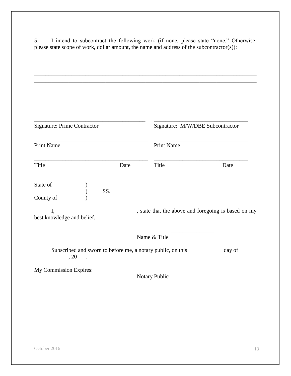5. I intend to subcontract the following work (if none, please state "none." Otherwise, please state scope of work, dollar amount, the name and address of the subcontractor(s)):

| <b>Signature: Prime Contractor</b> |                                                             |                   | Signature: M/W/DBE Subcontractor                    |
|------------------------------------|-------------------------------------------------------------|-------------------|-----------------------------------------------------|
| <b>Print Name</b>                  |                                                             | <b>Print Name</b> |                                                     |
| Title                              | Date                                                        | Title             | Date                                                |
| State of<br>County of              | SS.                                                         |                   |                                                     |
| I,<br>best knowledge and belief.   |                                                             |                   | , state that the above and foregoing is based on my |
|                                    |                                                             | Name & Title      |                                                     |
| $, 20$ ____.                       | Subscribed and sworn to before me, a notary public, on this |                   | day of                                              |
| My Commission Expires:             |                                                             | Notary Public     |                                                     |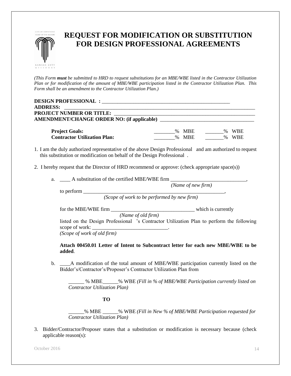

### **REQUEST FOR MODIFICATION OR SUBSTITUTION FOR DESIGN PROFESSIONAL AGREEMENTS**

*(This Form must be submitted to HRD to request substitutions for an MBE/WBE listed in the Contractor Utilization Plan or for modification of the amount of MBE/WBE participation listed in the Contractor Utilization Plan. This Form shall be an amendment to the Contractor Utilization Plan.)*

| <b>DESIGN PROFESSIONAL :</b>        |         |         |
|-------------------------------------|---------|---------|
| <b>ADDRESS:</b>                     |         |         |
| <b>PROJECT NUMBER OR TITLE:</b>     |         |         |
|                                     |         |         |
| <b>Project Goals:</b>               | % MBE   | % WBE   |
| <b>Contractor Utilization Plan:</b> | $%$ MBE | $%$ WBE |

- 1. I am the duly authorized representative of the above Design Professional and am authorized to request this substitution or modification on behalf of the Design Professional .
- 2. I hereby request that the Director of HRD recommend or approve: (check appropriate space(s))
	- a. A substitution of the certified MBE/WBE firm

 *(Name of new firm)*

to perform \_\_\_\_\_\_\_\_\_\_\_\_\_\_\_\_\_\_\_\_\_\_\_\_\_\_\_\_\_\_\_\_\_\_\_\_\_\_\_\_\_\_\_\_\_\_\_\_\_\_\_\_\_\_,

*(Scope of work to be performed by new firm)*

for the MBE/WBE firm \_\_\_\_\_\_\_\_\_\_\_\_\_\_\_\_\_\_\_\_\_\_\_\_\_\_\_\_\_\_\_\_ which is currently *(Name of old firm)* listed on the Design Professional 's Contractor Utilization Plan to perform the following scope of work:  $\perp$ 

*(Scope of work of old firm)*

**Attach 00450.01 Letter of Intent to Subcontract letter for each new MBE/WBE to be added**.

b. \_\_\_\_A modification of the total amount of MBE/WBE participation currently listed on the Bidder's/Contractor's/Proposer's Contractor Utilization Plan from

\_\_\_\_\_\_ % MBE\_\_\_\_\_\_% WBE *(Fill in % of MBE/WBE Participation currently listed on Contractor Utilization Plan)*

**TO**

\_\_\_\_\_\_% MBE \_\_\_\_\_\_% WBE *(Fill in New % of MBE/WBE Participation requested for Contractor Utilization Plan)*

3. Bidder/Contractor/Proposer states that a substitution or modification is necessary because (check applicable reason(s):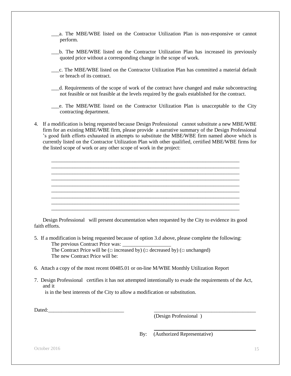- \_\_\_a. The MBE/WBE listed on the Contractor Utilization Plan is non-responsive or cannot perform.
- \_\_\_b. The MBE/WBE listed on the Contractor Utilization Plan has increased its previously quoted price without a corresponding change in the scope of work.
- \_\_\_c. The MBE/WBE listed on the Contractor Utilization Plan has committed a material default or breach of its contract.
- \_\_\_d. Requirements of the scope of work of the contract have changed and make subcontracting not feasible or not feasible at the levels required by the goals established for the contract.
- \_\_\_e. The MBE/WBE listed on the Contractor Utilization Plan is unacceptable to the City contracting department.
- 4. If a modification is being requested because Design Professional cannot substitute a new MBE/WBE firm for an existing MBE/WBE firm, please provide a narrative summary of the Design Professional 's good faith efforts exhausted in attempts to substitute the MBE/WBE firm named above which is currently listed on the Contractor Utilization Plan with other qualified, certified MBE/WBE firms for the listed scope of work or any other scope of work in the project:

\_\_\_\_\_\_\_\_\_\_\_\_\_\_\_\_\_\_\_\_\_\_\_\_\_\_\_\_\_\_\_\_\_\_\_\_\_\_\_\_\_\_\_\_\_\_\_\_\_\_\_\_\_\_\_\_\_\_\_\_\_\_\_\_\_\_\_\_\_\_\_\_ \_\_\_\_\_\_\_\_\_\_\_\_\_\_\_\_\_\_\_\_\_\_\_\_\_\_\_\_\_\_\_\_\_\_\_\_\_\_\_\_\_\_\_\_\_\_\_\_\_\_\_\_\_\_\_\_\_\_\_\_\_\_\_\_\_\_\_\_\_\_\_\_ \_\_\_\_\_\_\_\_\_\_\_\_\_\_\_\_\_\_\_\_\_\_\_\_\_\_\_\_\_\_\_\_\_\_\_\_\_\_\_\_\_\_\_\_\_\_\_\_\_\_\_\_\_\_\_\_\_\_\_\_\_\_\_\_\_\_\_\_\_\_\_\_ \_\_\_\_\_\_\_\_\_\_\_\_\_\_\_\_\_\_\_\_\_\_\_\_\_\_\_\_\_\_\_\_\_\_\_\_\_\_\_\_\_\_\_\_\_\_\_\_\_\_\_\_\_\_\_\_\_\_\_\_\_\_\_\_\_\_\_\_\_\_\_\_ \_\_\_\_\_\_\_\_\_\_\_\_\_\_\_\_\_\_\_\_\_\_\_\_\_\_\_\_\_\_\_\_\_\_\_\_\_\_\_\_\_\_\_\_\_\_\_\_\_\_\_\_\_\_\_\_\_\_\_\_\_\_\_\_\_\_\_\_\_\_\_\_ \_\_\_\_\_\_\_\_\_\_\_\_\_\_\_\_\_\_\_\_\_\_\_\_\_\_\_\_\_\_\_\_\_\_\_\_\_\_\_\_\_\_\_\_\_\_\_\_\_\_\_\_\_\_\_\_\_\_\_\_\_\_\_\_\_\_\_\_\_\_\_\_ \_\_\_\_\_\_\_\_\_\_\_\_\_\_\_\_\_\_\_\_\_\_\_\_\_\_\_\_\_\_\_\_\_\_\_\_\_\_\_\_\_\_\_\_\_\_\_\_\_\_\_\_\_\_\_\_\_\_\_\_\_\_\_\_\_\_\_\_\_\_\_\_ \_\_\_\_\_\_\_\_\_\_\_\_\_\_\_\_\_\_\_\_\_\_\_\_\_\_\_\_\_\_\_\_\_\_\_\_\_\_\_\_\_\_\_\_\_\_\_\_\_\_\_\_\_\_\_\_\_\_\_\_\_\_\_\_\_\_\_\_\_\_\_\_ \_\_\_\_\_\_\_\_\_\_\_\_\_\_\_\_\_\_\_\_\_\_\_\_\_\_\_\_\_\_\_\_\_\_\_\_\_\_\_\_\_\_\_\_\_\_\_\_\_\_\_\_\_\_\_\_\_\_\_\_\_\_\_\_\_\_\_\_\_\_\_\_

Design Professional will present documentation when requested by the City to evidence its good faith efforts.

5. If a modification is being requested because of option 3.d above, please complete the following: The previous Contract Price was:

The Contract Price will be ( $\Box$  increased by) ( $\Box$  decreased by) ( $\Box$  unchanged) The new Contract Price will be:

- 6. Attach a copy of the most recent 00485.01 or on-line M/WBE Monthly Utilization Report
- 7. Design Professional certifies it has not attempted intentionally to evade the requirements of the Act, and it

is in the best interests of the City to allow a modification or substitution.

Dated:

(Design Professional )

By: (Authorized Representative)

\_\_\_\_\_\_\_\_\_\_\_\_\_\_\_\_\_\_\_\_\_\_\_\_\_\_\_\_\_\_\_\_\_\_\_\_\_\_\_

October 2016 15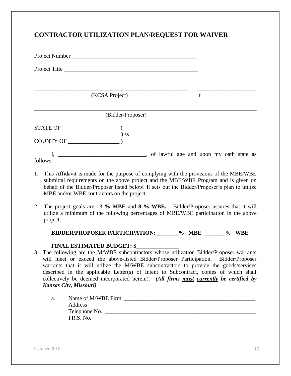#### **CONTRACTOR UTILIZATION PLAN/REQUEST FOR WAIVER**

| Project Title                                      |                   |                                           |  |   |  |  |
|----------------------------------------------------|-------------------|-------------------------------------------|--|---|--|--|
|                                                    |                   |                                           |  |   |  |  |
|                                                    | (KCSA Project)    |                                           |  | t |  |  |
|                                                    | (Bidder/Proposer) |                                           |  |   |  |  |
| $STATE OF$ (                                       |                   |                                           |  |   |  |  |
| COUNTY OF                                          | SS                |                                           |  |   |  |  |
| I, <u>____________________________</u><br>follows: |                   | , of lawful age and upon my oath state as |  |   |  |  |

- 1. This Affidavit is made for the purpose of complying with the provisions of the MBE/WBE submittal requirements on the above project and the MBE/WBE Program and is given on behalf of the Bidder/Proposer listed below. It sets out the Bidder/Proposer's plan to utilize MBE and/or WBE contractors on the project.
- 2. The project goals are 13 **% MBE** and **8 % WBE.** Bidder/Proposer assures that it will utilize a minimum of the following percentages of MBE/WBE participation in the above project:

#### **BIDDER/PROPOSER PARTICIPATION:\_\_\_\_\_\_\_\_% MBE \_\_\_\_\_\_\_% WBE**

#### **FINAL ESTIMATED BUDGET: \$\_\_\_\_\_\_\_\_\_\_\_\_\_\_\_**

3. The following are the M/WBE subcontractors whose utilization Bidder/Proposer warrants will meet or exceed the above-listed Bidder/Proposer Participation. Bidder/Proposer warrants that it will utilize the M/WBE subcontractors to provide the goods/services described in the applicable Letter(s) of Intent to Subcontract, copies of which shall collectively be deemed incorporated herein). *(All firms must currently be certified by Kansas City, Missouri)*

| a. | Name of M/WBE Firm |  |
|----|--------------------|--|
|    | Address            |  |
|    | Telephone No.      |  |
|    | I.R.S. No.         |  |
|    |                    |  |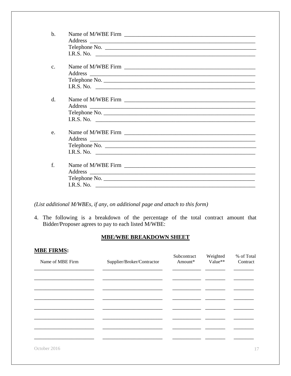| $\mathbf b$ . |                            |
|---------------|----------------------------|
|               |                            |
|               |                            |
|               | I.R.S. No. $\qquad \qquad$ |
|               |                            |
| $C_{-}$       |                            |
|               |                            |
|               | Telephone No.              |
|               |                            |
|               |                            |
| $\mathbf{d}$  |                            |
|               |                            |
|               | Telephone No.              |
|               | I.R.S. No. $\qquad \qquad$ |
|               |                            |
| e.            |                            |
|               |                            |
|               | Telephone No.              |
|               | I.R.S. No. $\qquad \qquad$ |
|               |                            |
| f.            |                            |
|               |                            |
|               |                            |
|               | I.R.S. No. $\qquad \qquad$ |

(List additional M/WBEs, if any, on additional page and attach to this form)

4. The following is a breakdown of the percentage of the total contract amount that Bidder/Proposer agrees to pay to each listed M/WBE:

#### **MBE/WBE BREAKDOWN SHEET**

| <b>MBE FIRMS:</b> |                            |                        |                     |                        |
|-------------------|----------------------------|------------------------|---------------------|------------------------|
| Name of MBE Firm  | Supplier/Broker/Contractor | Subcontract<br>Amount* | Weighted<br>Value** | % of Total<br>Contract |
|                   |                            |                        |                     |                        |
|                   |                            |                        |                     |                        |
|                   |                            |                        |                     |                        |
|                   |                            |                        |                     |                        |
|                   |                            |                        |                     |                        |
|                   |                            |                        |                     |                        |
| October 2016      |                            |                        |                     | 17                     |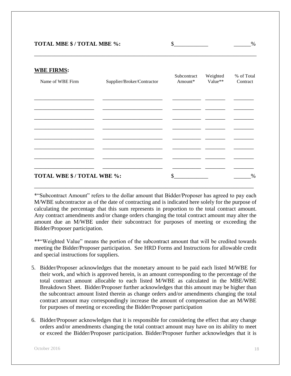#### **WBE FIRMS:**

| $\frac{1}{2}$ = $\frac{1}{2}$ = $\frac{1}{2}$ = $\frac{1}{2}$ = $\frac{1}{2}$ $\frac{1}{2}$ $\frac{1}{2}$ $\frac{1}{2}$ $\frac{1}{2}$ $\frac{1}{2}$ $\frac{1}{2}$ $\frac{1}{2}$ $\frac{1}{2}$ $\frac{1}{2}$ $\frac{1}{2}$ $\frac{1}{2}$ $\frac{1}{2}$ $\frac{1}{2}$ $\frac{1}{2}$ $\frac{1}{2}$ $\frac{1}{2}$ $\frac$<br>Name of WBE Firm | Supplier/Broker/Contractor | Subcontract<br>Amount* | Weighted<br>Value** | % of Total<br>Contract |
|-------------------------------------------------------------------------------------------------------------------------------------------------------------------------------------------------------------------------------------------------------------------------------------------------------------------------------------------|----------------------------|------------------------|---------------------|------------------------|
|                                                                                                                                                                                                                                                                                                                                           |                            |                        |                     |                        |
|                                                                                                                                                                                                                                                                                                                                           |                            |                        |                     |                        |
|                                                                                                                                                                                                                                                                                                                                           |                            |                        |                     |                        |
|                                                                                                                                                                                                                                                                                                                                           |                            |                        |                     |                        |
|                                                                                                                                                                                                                                                                                                                                           |                            |                        |                     |                        |
| TOTAL WBE \$/TOTAL WBE %:                                                                                                                                                                                                                                                                                                                 |                            | \$                     |                     | $\%$                   |

\_\_\_\_\_\_\_\_\_\_\_\_\_\_\_\_\_\_\_\_\_\_\_\_\_\_\_\_\_\_\_\_\_\_\_\_\_\_\_\_\_\_\_\_\_\_\_\_\_\_\_\_\_\_\_\_\_\_\_\_\_\_\_\_\_\_\_\_\_\_\_\_\_\_\_\_\_\_

\*"Subcontract Amount" refers to the dollar amount that Bidder/Proposer has agreed to pay each M/WBE subcontractor as of the date of contracting and is indicated here solely for the purpose of calculating the percentage that this sum represents in proportion to the total contract amount. Any contract amendments and/or change orders changing the total contract amount may alter the amount due an M/WBE under their subcontract for purposes of meeting or exceeding the Bidder/Proposer participation.

\*\*"Weighted Value" means the portion of the subcontract amount that will be credited towards meeting the Bidder/Proposer participation. See HRD Forms and Instructions for allowable credit and special instructions for suppliers.

- 5. Bidder/Proposer acknowledges that the monetary amount to be paid each listed M/WBE for their work, and which is approved herein, is an amount corresponding to the percentage of the total contract amount allocable to each listed M/WBE as calculated in the MBE/WBE Breakdown Sheet. Bidder/Proposer further acknowledges that this amount may be higher than the subcontract amount listed therein as change orders and/or amendments changing the total contract amount may correspondingly increase the amount of compensation due an M/WBE for purposes of meeting or exceeding the Bidder/Proposer participation
- 6. Bidder/Proposer acknowledges that it is responsible for considering the effect that any change orders and/or amendments changing the total contract amount may have on its ability to meet or exceed the Bidder/Proposer participation. Bidder/Proposer further acknowledges that it is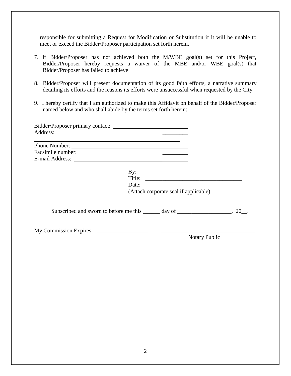responsible for submitting a Request for Modification or Substitution if it will be unable to meet or exceed the Bidder/Proposer participation set forth herein.

- 7. If Bidder/Proposer has not achieved both the M/WBE goal(s) set for this Project, Bidder/Proposer hereby requests a waiver of the MBE and/or WBE goal(s) that Bidder/Proposer has failed to achieve
- 8. Bidder/Proposer will present documentation of its good faith efforts, a narrative summary detailing its efforts and the reasons its efforts were unsuccessful when requested by the City.
- 9. I hereby certify that I am authorized to make this Affidavit on behalf of the Bidder/Proposer named below and who shall abide by the terms set forth herein:

| Phone Number: |                                                                                       |  |
|---------------|---------------------------------------------------------------------------------------|--|
|               |                                                                                       |  |
|               | By: $\qquad \qquad$<br>(Attach corporate seal if applicable)                          |  |
|               | Subscribed and sworn to before me this $\_\_\_\_$ day of $\_\_\_\_\_$ 20 $\_\_\_\_\_$ |  |
|               | <b>Notary Public</b>                                                                  |  |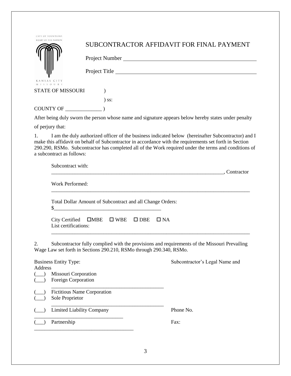| CITY OF FOUNTAINS<br>HEART OF THE NATION                                                                                                                                                                                                                                                                                                                  |                                                                                   | SUBCONTRACTOR AFFIDAVIT FOR FINAL PAYMENT |  |  |
|-----------------------------------------------------------------------------------------------------------------------------------------------------------------------------------------------------------------------------------------------------------------------------------------------------------------------------------------------------------|-----------------------------------------------------------------------------------|-------------------------------------------|--|--|
|                                                                                                                                                                                                                                                                                                                                                           |                                                                                   |                                           |  |  |
|                                                                                                                                                                                                                                                                                                                                                           |                                                                                   | Project Title                             |  |  |
| KANSAS CITY                                                                                                                                                                                                                                                                                                                                               |                                                                                   |                                           |  |  |
| $M$   S S O U R  <br><b>STATE OF MISSOURI</b>                                                                                                                                                                                                                                                                                                             |                                                                                   |                                           |  |  |
|                                                                                                                                                                                                                                                                                                                                                           | $\sum$ SS:                                                                        |                                           |  |  |
|                                                                                                                                                                                                                                                                                                                                                           |                                                                                   |                                           |  |  |
| After being duly sworn the person whose name and signature appears below hereby states under penalty                                                                                                                                                                                                                                                      |                                                                                   |                                           |  |  |
| of perjury that:                                                                                                                                                                                                                                                                                                                                          |                                                                                   |                                           |  |  |
| I am the duly authorized officer of the business indicated below (hereinafter Subcontractor) and I<br>1.<br>make this affidavit on behalf of Subcontractor in accordance with the requirements set forth in Section<br>290.290, RSMo. Subcontractor has completed all of the Work required under the terms and conditions of<br>a subcontract as follows: |                                                                                   |                                           |  |  |
| Subcontract with:                                                                                                                                                                                                                                                                                                                                         |                                                                                   |                                           |  |  |
| Work Performed:                                                                                                                                                                                                                                                                                                                                           |                                                                                   |                                           |  |  |
| Total Dollar Amount of Subcontract and all Change Orders:                                                                                                                                                                                                                                                                                                 |                                                                                   |                                           |  |  |
|                                                                                                                                                                                                                                                                                                                                                           | City Certified $\Box$ MBE $\Box$ WBE $\Box$ DBE $\Box$ NA<br>List certifications: |                                           |  |  |
| Subcontractor fully complied with the provisions and requirements of the Missouri Prevailing<br>2.<br>Wage Law set forth in Sections 290.210, RSMo through 290.340, RSMo.                                                                                                                                                                                 |                                                                                   |                                           |  |  |
| Address                                                                                                                                                                                                                                                                                                                                                   | <b>Business Entity Type:</b>                                                      | Subcontractor's Legal Name and            |  |  |
|                                                                                                                                                                                                                                                                                                                                                           | Missouri Corporation<br>Foreign Corporation                                       |                                           |  |  |
|                                                                                                                                                                                                                                                                                                                                                           | <b>Fictitious Name Corporation</b><br>Sole Proprietor                             |                                           |  |  |
|                                                                                                                                                                                                                                                                                                                                                           | <b>Limited Liability Company</b>                                                  | Phone No.                                 |  |  |
|                                                                                                                                                                                                                                                                                                                                                           | Partnership                                                                       | Fax:                                      |  |  |
|                                                                                                                                                                                                                                                                                                                                                           |                                                                                   |                                           |  |  |